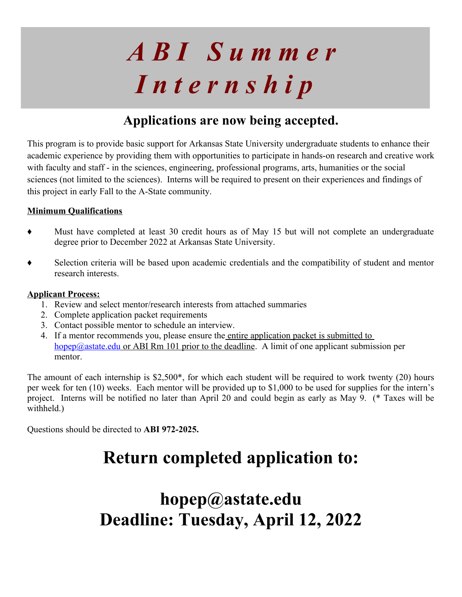# *A B I S u m m e r I n t e r n s h i p*

# **Applications are now being accepted.**

This program is to provide basic support for Arkansas State University undergraduate students to enhance their academic experience by providing them with opportunities to participate in hands-on research and creative work with faculty and staff - in the sciences, engineering, professional programs, arts, humanities or the social sciences (not limited to the sciences). Interns will be required to present on their experiences and findings of this project in early Fall to the A-State community.

## **Minimum Qualifications**

- Must have completed at least 30 credit hours as of May 15 but will not complete an undergraduate degree prior to December 2022 at Arkansas State University.
- ♦ Selection criteria will be based upon academic credentials and the compatibility of student and mentor research interests.

## **Applicant Process:**

- 1. Review and select mentor/research interests from attached summaries
- 2. Complete application packet requirements
- 3. Contact possible mentor to schedule an interview.
- 4. If a mentor recommends you, please ensure the entire application packet is submitted to hopep@astate.edu or ABI Rm 101 prior to the deadline. A limit of one applicant submission per mentor.

The amount of each internship is \$2,500\*, for which each student will be required to work twenty (20) hours per week for ten (10) weeks. Each mentor will be provided up to \$1,000 to be used for supplies for the intern's project. Interns will be notified no later than April 20 and could begin as early as May 9. (\* Taxes will be withheld.)

Questions should be directed to **ABI 972-2025.**

# **Return completed application to:**

# **hopep@astate.edu Deadline: Tuesday, April 12, 2022**